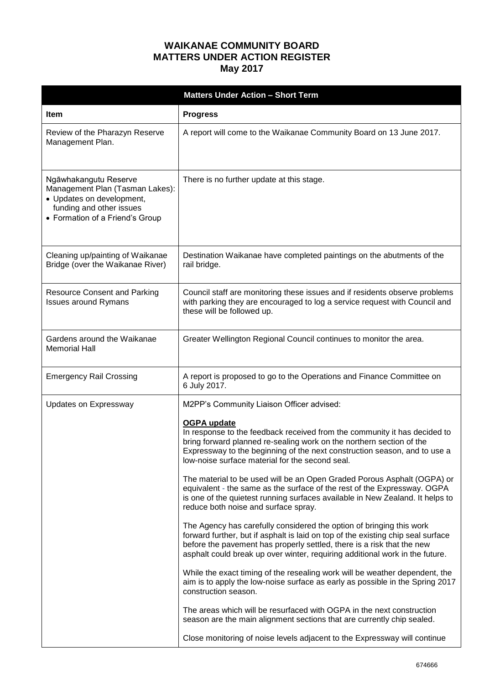## **WAIKANAE COMMUNITY BOARD MATTERS UNDER ACTION REGISTER May 2017**

| <b>Matters Under Action - Short Term</b>                                                                                                             |                                                                                                                                                                                                                                                                                                                    |  |
|------------------------------------------------------------------------------------------------------------------------------------------------------|--------------------------------------------------------------------------------------------------------------------------------------------------------------------------------------------------------------------------------------------------------------------------------------------------------------------|--|
| <b>Item</b>                                                                                                                                          | <b>Progress</b>                                                                                                                                                                                                                                                                                                    |  |
| Review of the Pharazyn Reserve<br>Management Plan.                                                                                                   | A report will come to the Waikanae Community Board on 13 June 2017.                                                                                                                                                                                                                                                |  |
| Ngāwhakangutu Reserve<br>Management Plan (Tasman Lakes):<br>• Updates on development,<br>funding and other issues<br>• Formation of a Friend's Group | There is no further update at this stage.                                                                                                                                                                                                                                                                          |  |
| Cleaning up/painting of Waikanae<br>Bridge (over the Waikanae River)                                                                                 | Destination Waikanae have completed paintings on the abutments of the<br>rail bridge.                                                                                                                                                                                                                              |  |
| <b>Resource Consent and Parking</b><br><b>Issues around Rymans</b>                                                                                   | Council staff are monitoring these issues and if residents observe problems<br>with parking they are encouraged to log a service request with Council and<br>these will be followed up.                                                                                                                            |  |
| Gardens around the Waikanae<br><b>Memorial Hall</b>                                                                                                  | Greater Wellington Regional Council continues to monitor the area.                                                                                                                                                                                                                                                 |  |
| <b>Emergency Rail Crossing</b>                                                                                                                       | A report is proposed to go to the Operations and Finance Committee on<br>6 July 2017.                                                                                                                                                                                                                              |  |
| Updates on Expressway                                                                                                                                | M2PP's Community Liaison Officer advised:                                                                                                                                                                                                                                                                          |  |
|                                                                                                                                                      | <b>OGPA update</b><br>In response to the feedback received from the community it has decided to<br>bring forward planned re-sealing work on the northern section of the<br>Expressway to the beginning of the next construction season, and to use a<br>low-noise surface material for the second seal.            |  |
|                                                                                                                                                      | The material to be used will be an Open Graded Porous Asphalt (OGPA) or<br>equivalent - the same as the surface of the rest of the Expressway. OGPA<br>is one of the quietest running surfaces available in New Zealand. It helps to<br>reduce both noise and surface spray.                                       |  |
|                                                                                                                                                      | The Agency has carefully considered the option of bringing this work<br>forward further, but if asphalt is laid on top of the existing chip seal surface<br>before the pavement has properly settled, there is a risk that the new<br>asphalt could break up over winter, requiring additional work in the future. |  |
|                                                                                                                                                      | While the exact timing of the resealing work will be weather dependent, the<br>aim is to apply the low-noise surface as early as possible in the Spring 2017<br>construction season.                                                                                                                               |  |
|                                                                                                                                                      | The areas which will be resurfaced with OGPA in the next construction<br>season are the main alignment sections that are currently chip sealed.                                                                                                                                                                    |  |
|                                                                                                                                                      | Close monitoring of noise levels adjacent to the Expressway will continue                                                                                                                                                                                                                                          |  |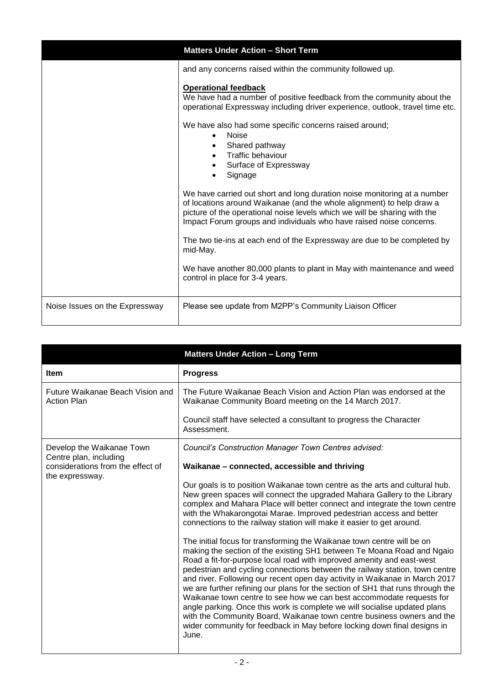|                                | <b>Matters Under Action - Short Term</b>                                                                                                                                                                                                                                                              |
|--------------------------------|-------------------------------------------------------------------------------------------------------------------------------------------------------------------------------------------------------------------------------------------------------------------------------------------------------|
|                                | and any concerns raised within the community followed up.                                                                                                                                                                                                                                             |
|                                | <b>Operational feedback</b><br>We have had a number of positive feedback from the community about the<br>operational Expressway including driver experience, outlook, travel time etc.                                                                                                                |
|                                | We have also had some specific concerns raised around;<br><b>Noise</b><br>Shared pathway<br>Traffic behaviour<br>Surface of Expressway<br>Signage                                                                                                                                                     |
|                                | We have carried out short and long duration noise monitoring at a number<br>of locations around Waikanae (and the whole alignment) to help draw a<br>picture of the operational noise levels which we will be sharing with the<br>Impact Forum groups and individuals who have raised noise concerns. |
|                                | The two tie-ins at each end of the Expressway are due to be completed by<br>mid-May.                                                                                                                                                                                                                  |
|                                | We have another 80,000 plants to plant in May with maintenance and weed<br>control in place for 3-4 years.                                                                                                                                                                                            |
| Noise Issues on the Expressway | Please see update from M2PP's Community Liaison Officer                                                                                                                                                                                                                                               |

|                                                        | <b>Matters Under Action - Long Term</b>                                                                                                                                                                                                                                                                                                                                                                                                                                                                                                                                                                                                                                                                                                                                                       |
|--------------------------------------------------------|-----------------------------------------------------------------------------------------------------------------------------------------------------------------------------------------------------------------------------------------------------------------------------------------------------------------------------------------------------------------------------------------------------------------------------------------------------------------------------------------------------------------------------------------------------------------------------------------------------------------------------------------------------------------------------------------------------------------------------------------------------------------------------------------------|
| <b>Item</b>                                            | <b>Progress</b>                                                                                                                                                                                                                                                                                                                                                                                                                                                                                                                                                                                                                                                                                                                                                                               |
| Future Waikanae Beach Vision and<br><b>Action Plan</b> | The Future Waikanae Beach Vision and Action Plan was endorsed at the<br>Waikanae Community Board meeting on the 14 March 2017.                                                                                                                                                                                                                                                                                                                                                                                                                                                                                                                                                                                                                                                                |
|                                                        | Council staff have selected a consultant to progress the Character<br>Assessment.                                                                                                                                                                                                                                                                                                                                                                                                                                                                                                                                                                                                                                                                                                             |
| Develop the Waikanae Town<br>Centre plan, including    | Council's Construction Manager Town Centres advised:                                                                                                                                                                                                                                                                                                                                                                                                                                                                                                                                                                                                                                                                                                                                          |
| considerations from the effect of<br>the expressway.   | Waikanae - connected, accessible and thriving                                                                                                                                                                                                                                                                                                                                                                                                                                                                                                                                                                                                                                                                                                                                                 |
|                                                        | Our goals is to position Waikanae town centre as the arts and cultural hub.<br>New green spaces will connect the upgraded Mahara Gallery to the Library<br>complex and Mahara Place will better connect and integrate the town centre<br>with the Whakarongotai Marae. Improved pedestrian access and better<br>connections to the railway station will make it easier to get around.                                                                                                                                                                                                                                                                                                                                                                                                         |
|                                                        | The initial focus for transforming the Waikanae town centre will be on<br>making the section of the existing SH1 between Te Moana Road and Ngaio<br>Road a fit-for-purpose local road with improved amenity and east-west<br>pedestrian and cycling connections between the railway station, town centre<br>and river. Following our recent open day activity in Waikanae in March 2017<br>we are further refining our plans for the section of SH1 that runs through the<br>Waikanae town centre to see how we can best accommodate requests for<br>angle parking. Once this work is complete we will socialise updated plans<br>with the Community Board, Waikanae town centre business owners and the<br>wider community for feedback in May before locking down final designs in<br>June. |